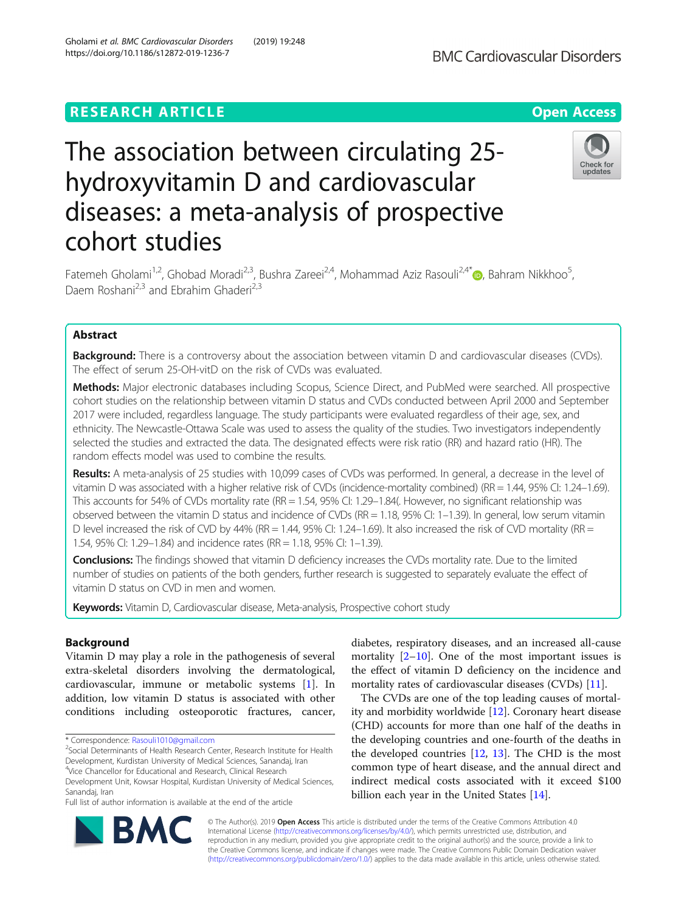cohort studies

# The association between circulating 25 hydroxyvitamin D and cardiovascular diseases: a meta-analysis of prospective

Fatemeh Gholami<sup>1[,](http://orcid.org/0000-0003-3359-774X)2</sup>, Ghobad Moradi<sup>2,3</sup>, Bushra Zareei<sup>2,4</sup>, Mohammad Aziz Rasouli<sup>2,4\*</sup> , Bahram Nikkhoo<sup>5</sup>, , Daem Roshani<sup>2,3</sup> and Ebrahim Ghaderi<sup>2,3</sup>

# Abstract

**Background:** There is a controversy about the association between vitamin D and cardiovascular diseases (CVDs). The effect of serum 25-OH-vitD on the risk of CVDs was evaluated.

Methods: Major electronic databases including Scopus, Science Direct, and PubMed were searched. All prospective cohort studies on the relationship between vitamin D status and CVDs conducted between April 2000 and September 2017 were included, regardless language. The study participants were evaluated regardless of their age, sex, and ethnicity. The Newcastle-Ottawa Scale was used to assess the quality of the studies. Two investigators independently selected the studies and extracted the data. The designated effects were risk ratio (RR) and hazard ratio (HR). The random effects model was used to combine the results.

Results: A meta-analysis of 25 studies with 10,099 cases of CVDs was performed. In general, a decrease in the level of vitamin D was associated with a higher relative risk of CVDs (incidence-mortality combined) (RR = 1.44, 95% CI: 1.24–1.69). This accounts for 54% of CVDs mortality rate (RR = 1.54, 95% CI: 1.29–1.84(. However, no significant relationship was observed between the vitamin D status and incidence of CVDs (RR = 1.18, 95% CI: 1–1.39). In general, low serum vitamin D level increased the risk of CVD by 44% (RR = 1.44, 95% CI: 1.24–1.69). It also increased the risk of CVD mortality (RR = 1.54, 95% CI: 1.29–1.84) and incidence rates (RR = 1.18, 95% CI: 1–1.39).

Conclusions: The findings showed that vitamin D deficiency increases the CVDs mortality rate. Due to the limited number of studies on patients of the both genders, further research is suggested to separately evaluate the effect of vitamin D status on CVD in men and women.

Keywords: Vitamin D, Cardiovascular disease, Meta-analysis, Prospective cohort study

# Background

Vitamin D may play a role in the pathogenesis of several extra-skeletal disorders involving the dermatological, cardiovascular, immune or metabolic systems [\[1](#page-8-0)]. In addition, low vitamin D status is associated with other conditions including osteoporotic fractures, cancer,

\* Correspondence: [Rasouli1010@gmail.com](mailto:Rasouli1010@gmail.com) <sup>2</sup>

**BM** 

4 Vice Chancellor for Educational and Research, Clinical Research

Full list of author information is available at the end of the article

diabetes, respiratory diseases, and an increased all-cause mortality  $[2-10]$  $[2-10]$  $[2-10]$  $[2-10]$ . One of the most important issues is the effect of vitamin D deficiency on the incidence and mortality rates of cardiovascular diseases (CVDs) [[11](#page-8-0)].

The CVDs are one of the top leading causes of mortality and morbidity worldwide [[12\]](#page-8-0). Coronary heart disease (CHD) accounts for more than one half of the deaths in the developing countries and one-fourth of the deaths in the developed countries  $[12, 13]$  $[12, 13]$  $[12, 13]$ . The CHD is the most common type of heart disease, and the annual direct and indirect medical costs associated with it exceed \$100 billion each year in the United States [\[14](#page-8-0)].

© The Author(s). 2019 **Open Access** This article is distributed under the terms of the Creative Commons Attribution 4.0 International License [\(http://creativecommons.org/licenses/by/4.0/](http://creativecommons.org/licenses/by/4.0/)), which permits unrestricted use, distribution, and reproduction in any medium, provided you give appropriate credit to the original author(s) and the source, provide a link to the Creative Commons license, and indicate if changes were made. The Creative Commons Public Domain Dedication waiver [\(http://creativecommons.org/publicdomain/zero/1.0/](http://creativecommons.org/publicdomain/zero/1.0/)) applies to the data made available in this article, unless otherwise stated.







<sup>&</sup>lt;sup>2</sup>Social Determinants of Health Research Center, Research Institute for Health Development, Kurdistan University of Medical Sciences, Sanandaj, Iran

Development Unit, Kowsar Hospital, Kurdistan University of Medical Sciences, Sanandaj, Iran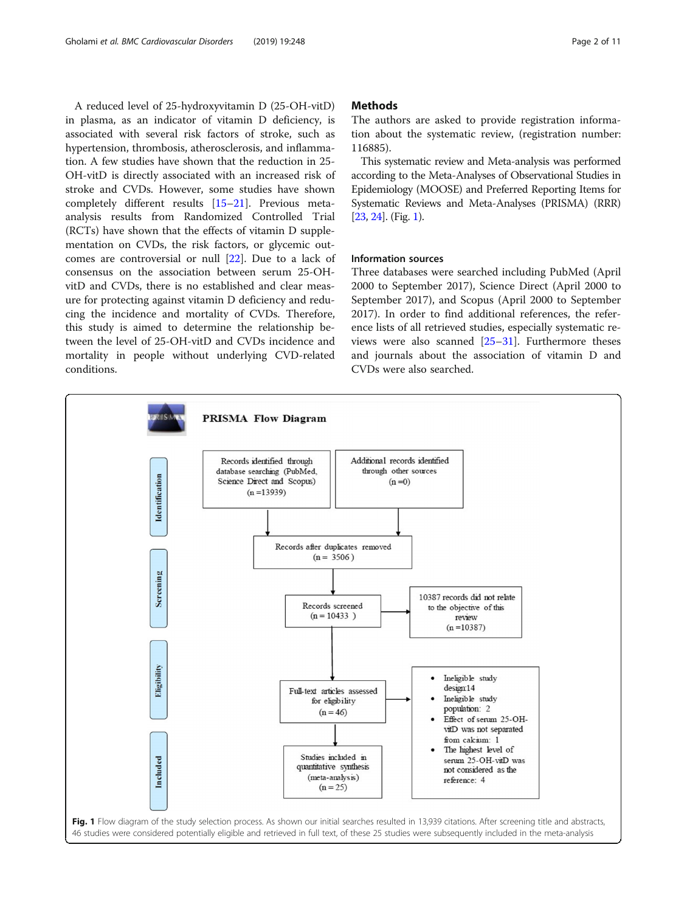<span id="page-1-0"></span>A reduced level of 25-hydroxyvitamin D (25-OH-vitD) in plasma, as an indicator of vitamin D deficiency, is associated with several risk factors of stroke, such as hypertension, thrombosis, atherosclerosis, and inflammation. A few studies have shown that the reduction in 25- OH-vitD is directly associated with an increased risk of stroke and CVDs. However, some studies have shown completely different results [[15](#page-8-0)–[21](#page-8-0)]. Previous metaanalysis results from Randomized Controlled Trial (RCTs) have shown that the effects of vitamin D supplementation on CVDs, the risk factors, or glycemic outcomes are controversial or null [[22](#page-8-0)]. Due to a lack of consensus on the association between serum 25-OHvitD and CVDs, there is no established and clear measure for protecting against vitamin D deficiency and reducing the incidence and mortality of CVDs. Therefore, this study is aimed to determine the relationship between the level of 25-OH-vitD and CVDs incidence and mortality in people without underlying CVD-related conditions.

## **Methods**

The authors are asked to provide registration information about the systematic review, (registration number: 116885).

This systematic review and Meta-analysis was performed according to the Meta-Analyses of Observational Studies in Epidemiology (MOOSE) and Preferred Reporting Items for Systematic Reviews and Meta-Analyses (PRISMA) (RRR) [[23](#page-8-0), [24](#page-9-0)]. (Fig. 1).

## Information sources

Three databases were searched including PubMed (April 2000 to September 2017), Science Direct (April 2000 to September 2017), and Scopus (April 2000 to September 2017). In order to find additional references, the reference lists of all retrieved studies, especially systematic reviews were also scanned [[25](#page-9-0)–[31](#page-9-0)]. Furthermore theses and journals about the association of vitamin D and CVDs were also searched.

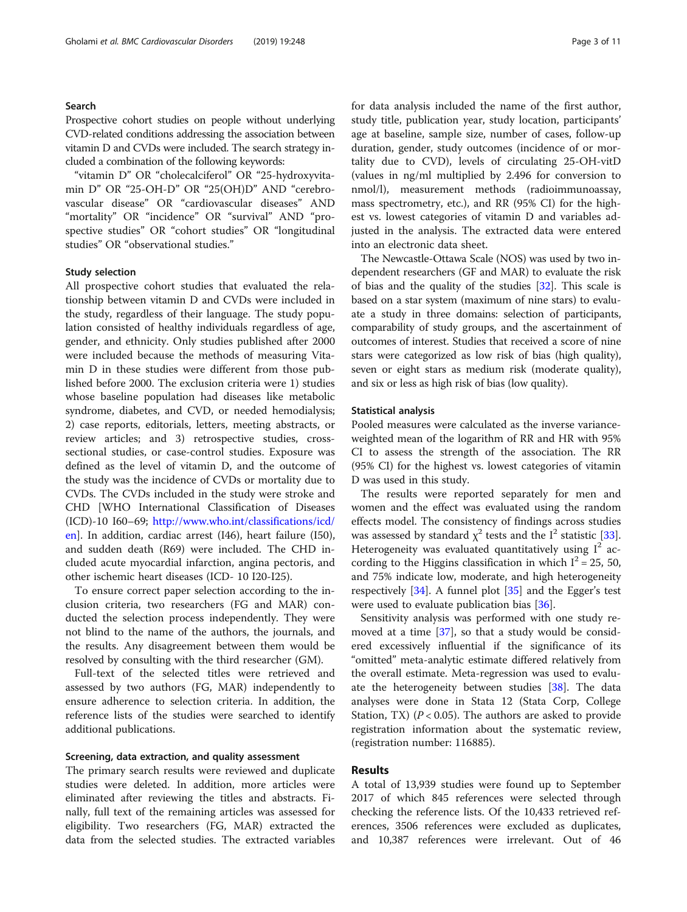## Search

Prospective cohort studies on people without underlying CVD-related conditions addressing the association between vitamin D and CVDs were included. The search strategy included a combination of the following keywords:

"vitamin D" OR "cholecalciferol" OR "25-hydroxyvitamin D" OR "25-OH-D" OR "25(OH)D" AND "cerebrovascular disease" OR "cardiovascular diseases" AND "mortality" OR "incidence" OR "survival" AND "prospective studies" OR "cohort studies" OR "longitudinal studies" OR "observational studies."

#### Study selection

All prospective cohort studies that evaluated the relationship between vitamin D and CVDs were included in the study, regardless of their language. The study population consisted of healthy individuals regardless of age, gender, and ethnicity. Only studies published after 2000 were included because the methods of measuring Vitamin D in these studies were different from those published before 2000. The exclusion criteria were 1) studies whose baseline population had diseases like metabolic syndrome, diabetes, and CVD, or needed hemodialysis; 2) case reports, editorials, letters, meeting abstracts, or review articles; and 3) retrospective studies, crosssectional studies, or case-control studies. Exposure was defined as the level of vitamin D, and the outcome of the study was the incidence of CVDs or mortality due to CVDs. The CVDs included in the study were stroke and CHD [WHO International Classification of Diseases (ICD)-10 I60–69; [http://www.who.int/classifications/icd/](http://www.who.int/classifications/icd/en) [en\]](http://www.who.int/classifications/icd/en). In addition, cardiac arrest (I46), heart failure (I50), and sudden death (R69) were included. The CHD included acute myocardial infarction, angina pectoris, and other ischemic heart diseases (ICD- 10 I20-I25).

To ensure correct paper selection according to the inclusion criteria, two researchers (FG and MAR) conducted the selection process independently. They were not blind to the name of the authors, the journals, and the results. Any disagreement between them would be resolved by consulting with the third researcher (GM).

Full-text of the selected titles were retrieved and assessed by two authors (FG, MAR) independently to ensure adherence to selection criteria. In addition, the reference lists of the studies were searched to identify additional publications.

## Screening, data extraction, and quality assessment

The primary search results were reviewed and duplicate studies were deleted. In addition, more articles were eliminated after reviewing the titles and abstracts. Finally, full text of the remaining articles was assessed for eligibility. Two researchers (FG, MAR) extracted the data from the selected studies. The extracted variables for data analysis included the name of the first author, study title, publication year, study location, participants' age at baseline, sample size, number of cases, follow-up duration, gender, study outcomes (incidence of or mortality due to CVD), levels of circulating 25-OH-vitD (values in ng/ml multiplied by 2.496 for conversion to nmol/l), measurement methods (radioimmunoassay, mass spectrometry, etc.), and RR (95% CI) for the highest vs. lowest categories of vitamin D and variables adjusted in the analysis. The extracted data were entered into an electronic data sheet.

The Newcastle-Ottawa Scale (NOS) was used by two independent researchers (GF and MAR) to evaluate the risk of bias and the quality of the studies [[32](#page-9-0)]. This scale is based on a star system (maximum of nine stars) to evaluate a study in three domains: selection of participants, comparability of study groups, and the ascertainment of outcomes of interest. Studies that received a score of nine stars were categorized as low risk of bias (high quality), seven or eight stars as medium risk (moderate quality), and six or less as high risk of bias (low quality).

## Statistical analysis

Pooled measures were calculated as the inverse varianceweighted mean of the logarithm of RR and HR with 95% CI to assess the strength of the association. The RR (95% CI) for the highest vs. lowest categories of vitamin D was used in this study.

The results were reported separately for men and women and the effect was evaluated using the random effects model. The consistency of findings across studies was assessed by standard  $\chi^2$  tests and the I<sup>2</sup> statistic [\[33](#page-9-0)]. Heterogeneity was evaluated quantitatively using  $I^2$  according to the Higgins classification in which  $I^2 = 25$ , 50, and 75% indicate low, moderate, and high heterogeneity respectively [[34\]](#page-9-0). A funnel plot [\[35](#page-9-0)] and the Egger's test were used to evaluate publication bias [[36](#page-9-0)].

Sensitivity analysis was performed with one study removed at a time [[37\]](#page-9-0), so that a study would be considered excessively influential if the significance of its "omitted" meta-analytic estimate differed relatively from the overall estimate. Meta-regression was used to evaluate the heterogeneity between studies  $[38]$  $[38]$  $[38]$ . The data analyses were done in Stata 12 (Stata Corp, College Station, TX) ( $P < 0.05$ ). The authors are asked to provide registration information about the systematic review, (registration number: 116885).

## Results

A total of 13,939 studies were found up to September 2017 of which 845 references were selected through checking the reference lists. Of the 10,433 retrieved references, 3506 references were excluded as duplicates, and 10,387 references were irrelevant. Out of 46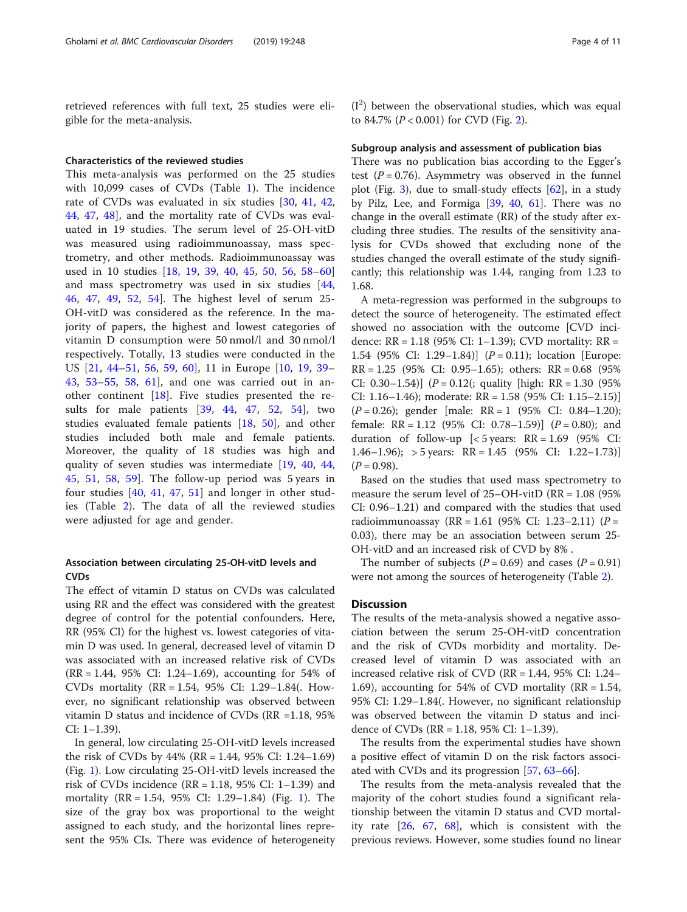retrieved references with full text, 25 studies were eligible for the meta-analysis.

## Characteristics of the reviewed studies

This meta-analysis was performed on the 25 studies with 10,099 cases of CVDs (Table [1\)](#page-4-0). The incidence rate of CVDs was evaluated in six studies [\[30](#page-9-0), [41,](#page-9-0) [42](#page-9-0), [44,](#page-9-0) [47](#page-9-0), [48\]](#page-9-0), and the mortality rate of CVDs was evaluated in 19 studies. The serum level of 25-OH-vitD was measured using radioimmunoassay, mass spectrometry, and other methods. Radioimmunoassay was used in 10 studies [[18](#page-8-0), [19,](#page-8-0) [39,](#page-9-0) [40](#page-9-0), [45](#page-9-0), [50,](#page-9-0) [56,](#page-9-0) [58](#page-9-0)–[60](#page-9-0)] and mass spectrometry was used in six studies [\[44](#page-9-0), [46,](#page-9-0) [47,](#page-9-0) [49,](#page-9-0) [52](#page-9-0), [54](#page-9-0)]. The highest level of serum 25- OH-vitD was considered as the reference. In the majority of papers, the highest and lowest categories of vitamin D consumption were 50 nmol/l and 30 nmol/l respectively. Totally, 13 studies were conducted in the US [\[21,](#page-8-0) [44](#page-9-0)–[51,](#page-9-0) [56](#page-9-0), [59,](#page-9-0) [60](#page-9-0)], 11 in Europe [[10,](#page-8-0) [19](#page-8-0), [39](#page-9-0)– [43,](#page-9-0) [53](#page-9-0)–[55](#page-9-0), [58](#page-9-0), [61](#page-9-0)], and one was carried out in another continent [[18\]](#page-8-0). Five studies presented the results for male patients  $[39, 44, 47, 52, 54]$  $[39, 44, 47, 52, 54]$  $[39, 44, 47, 52, 54]$  $[39, 44, 47, 52, 54]$  $[39, 44, 47, 52, 54]$  $[39, 44, 47, 52, 54]$  $[39, 44, 47, 52, 54]$  $[39, 44, 47, 52, 54]$  $[39, 44, 47, 52, 54]$  $[39, 44, 47, 52, 54]$ , two studies evaluated female patients [\[18](#page-8-0), [50](#page-9-0)], and other studies included both male and female patients. Moreover, the quality of 18 studies was high and quality of seven studies was intermediate [\[19](#page-8-0), [40](#page-9-0), [44](#page-9-0), [45,](#page-9-0) [51](#page-9-0), [58,](#page-9-0) [59](#page-9-0)]. The follow-up period was 5 years in four studies [\[40](#page-9-0), [41,](#page-9-0) [47](#page-9-0), [51](#page-9-0)] and longer in other studies (Table [2\)](#page-5-0). The data of all the reviewed studies were adjusted for age and gender.

# Association between circulating 25-OH-vitD levels and **CVDs**

The effect of vitamin D status on CVDs was calculated using RR and the effect was considered with the greatest degree of control for the potential confounders. Here, RR (95% CI) for the highest vs. lowest categories of vitamin D was used. In general, decreased level of vitamin D was associated with an increased relative risk of CVDs (RR = 1.44, 95% CI: 1.24–1.69), accounting for 54% of CVDs mortality (RR = 1.54, 95% CI: 1.29–1.84(. However, no significant relationship was observed between vitamin D status and incidence of CVDs (RR =1.18, 95%  $CI: 1-1.39$ ).

In general, low circulating 25-OH-vitD levels increased the risk of CVDs by 44% (RR = 1.44, 95% CI: 1.24–1.69) (Fig. [1](#page-1-0)). Low circulating 25-OH-vitD levels increased the risk of CVDs incidence (RR = 1.18, 95% CI: 1-1.39) and mortality (RR = 1.54, 95% CI: 1.29–1.84) (Fig. [1\)](#page-1-0). The size of the gray box was proportional to the weight assigned to each study, and the horizontal lines represent the 95% CIs. There was evidence of heterogeneity

 $(I<sup>2</sup>)$  between the observational studies, which was equal to 84.7% ( $P < 0.001$ ) for CVD (Fig. [2](#page-6-0)).

#### Subgroup analysis and assessment of publication bias

There was no publication bias according to the Egger's test ( $P = 0.76$ ). Asymmetry was observed in the funnel plot (Fig. [3\)](#page-6-0), due to small-study effects [[62\]](#page-9-0), in a study by Pilz, Lee, and Formiga [[39](#page-9-0), [40](#page-9-0), [61](#page-9-0)]. There was no change in the overall estimate (RR) of the study after excluding three studies. The results of the sensitivity analysis for CVDs showed that excluding none of the studies changed the overall estimate of the study significantly; this relationship was 1.44, ranging from 1.23 to 1.68.

A meta-regression was performed in the subgroups to detect the source of heterogeneity. The estimated effect showed no association with the outcome [CVD incidence: RR = 1.18 (95% CI: 1–1.39); CVD mortality: RR = 1.54 (95% CI: 1.29–1.84)]  $(P = 0.11)$ ; location [Europe:  $RR = 1.25$  (95% CI: 0.95–1.65); others:  $RR = 0.68$  (95%) CI:  $0.30-1.54$ ] ( $P = 0.12$ (; quality [high: RR = 1.30 (95%) CI: 1.16–1.46); moderate: RR = 1.58 (95% CI: 1.15–2.15)]  $(P = 0.26)$ ; gender [male: RR = 1 (95% CI: 0.84–1.20); female:  $RR = 1.12$  (95% CI: 0.78-1.59)] ( $P = 0.80$ ); and duration of follow-up  $\left[ < 5 \text{ years:} \text{ RR} = 1.69 \text{ (95\% CI:} \right]$ 1.46–1.96); > 5 years:  $RR = 1.45 (95\% \text{ CI: } 1.22-1.73)$  $(P = 0.98)$ .

Based on the studies that used mass spectrometry to measure the serum level of 25–OH-vitD (RR = 1.08 (95% CI: 0.96–1.21) and compared with the studies that used radioimmunoassay (RR = 1.61 (95% CI: 1.23-2.11) ( $P =$ 0.03), there may be an association between serum 25- OH-vitD and an increased risk of CVD by 8% .

The number of subjects  $(P = 0.69)$  and cases  $(P = 0.91)$ were not among the sources of heterogeneity (Table [2\)](#page-5-0).

## **Discussion**

The results of the meta-analysis showed a negative association between the serum 25-OH-vitD concentration and the risk of CVDs morbidity and mortality. Decreased level of vitamin D was associated with an increased relative risk of CVD (RR = 1.44, 95% CI: 1.24– 1.69), accounting for 54% of CVD mortality ( $RR = 1.54$ , 95% CI: 1.29–1.84(. However, no significant relationship was observed between the vitamin D status and incidence of CVDs (RR = 1.18, 95% CI: 1–1.39).

The results from the experimental studies have shown a positive effect of vitamin D on the risk factors associated with CVDs and its progression [[57,](#page-9-0) [63](#page-9-0)–[66](#page-9-0)].

The results from the meta-analysis revealed that the majority of the cohort studies found a significant relationship between the vitamin D status and CVD mortality rate [[26,](#page-9-0) [67](#page-9-0), [68](#page-9-0)], which is consistent with the previous reviews. However, some studies found no linear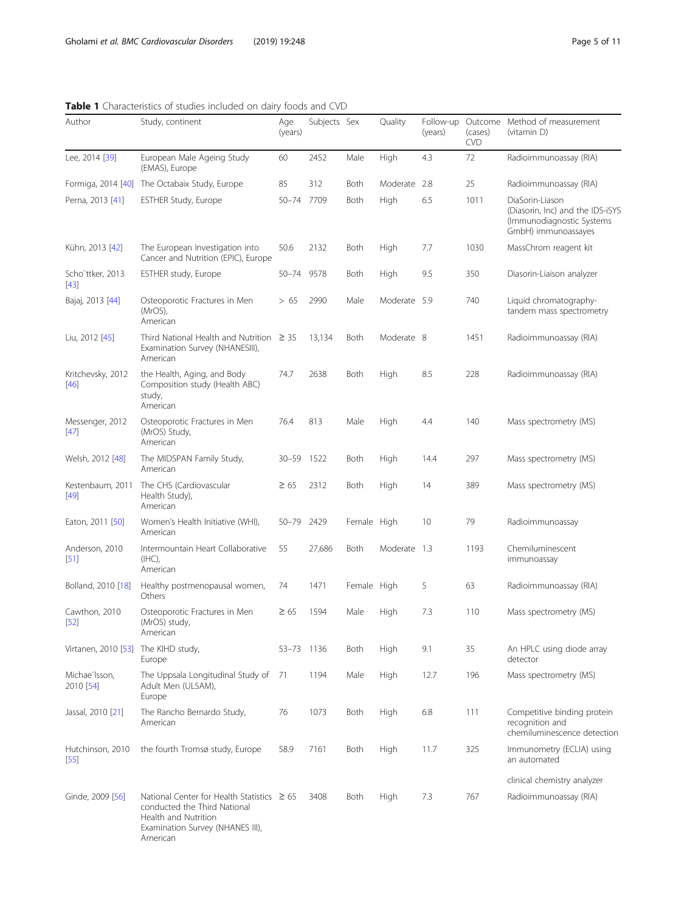| Author                              | <b>Rable I</b> Characteristics or studies included on daily foods and CVD<br>Study, continent                                                           | Age<br>(years) | Subjects Sex |             | Quality      | (years) | (cases)          | Follow-up Outcome Method of measurement<br>(vitamin D)                                                  |
|-------------------------------------|---------------------------------------------------------------------------------------------------------------------------------------------------------|----------------|--------------|-------------|--------------|---------|------------------|---------------------------------------------------------------------------------------------------------|
| Lee, 2014 [39]                      | European Male Ageing Study                                                                                                                              | 60             | 2452         | Male        | High         | 4.3     | <b>CVD</b><br>72 | Radioimmunoassay (RIA)                                                                                  |
|                                     | (EMAS), Europe                                                                                                                                          |                |              |             |              |         |                  |                                                                                                         |
|                                     | Formiga, 2014 [40] The Octabaix Study, Europe                                                                                                           | 85             | 312          | Both        | Moderate     | 2.8     | 25               | Radioimmunoassay (RIA)                                                                                  |
| Perna, 2013 [41]                    | ESTHER Study, Europe                                                                                                                                    | $50 - 74$      | 7709         | Both        | High         | 6.5     | 1011             | DiaSorin-Liason<br>(Diasorin, Inc) and the IDS-iSYS<br>(Immunodiagnostic Systems<br>GmbH) immunoassayes |
| Kühn, 2013 [42]                     | The European Investigation into<br>Cancer and Nutrition (EPIC), Europe                                                                                  | 50.6           | 2132         | Both        | High         | 7.7     | 1030             | MassChrom reagent kit                                                                                   |
| Scho"ttker, 2013<br>$[43]$          | ESTHER study, Europe                                                                                                                                    | 50-74          | 9578         | Both        | <b>High</b>  | 9.5     | 350              | Diasorin-Liaison analyzer                                                                               |
| Bajaj, 2013 [44]                    | Osteoporotic Fractures in Men<br>(MrOS),<br>American                                                                                                    | > 65           | 2990         | Male        | Moderate 5.9 |         | 740              | Liquid chromatography-<br>tandem mass spectrometry                                                      |
| Liu, 2012 [45]                      | Third National Health and Nutrition $\geq$ 35<br>Examination Survey (NHANESIII),<br>American                                                            |                | 13,134       | Both        | Moderate 8   |         | 1451             | Radioimmunoassay (RIA)                                                                                  |
| Kritchevsky, 2012<br>$[46]$         | the Health, Aging, and Body<br>Composition study (Health ABC)<br>study,<br>American                                                                     | 74.7           | 2638         | Both        | <b>High</b>  | 8.5     | 228              | Radioimmunoassay (RIA)                                                                                  |
| Messenger, 2012<br>$[47]$           | Osteoporotic Fractures in Men<br>(MrOS) Study,<br>American                                                                                              | 76.4           | 813          | Male        | High         | 4.4     | 140              | Mass spectrometry (MS)                                                                                  |
| Welsh, 2012 [48]                    | The MIDSPAN Family Study,<br>American                                                                                                                   | 30-59 1522     |              | Both        | High         | 14.4    | 297              | Mass spectrometry (MS)                                                                                  |
| Kestenbaum, 2011<br>$[49]$          | The CHS (Cardiovascular<br>Health Study),<br>American                                                                                                   | $\geq 65$      | 2312         | Both        | <b>High</b>  | 14      | 389              | Mass spectrometry (MS)                                                                                  |
| Eaton, 2011 [50]                    | Women's Health Initiative (WHI),<br>American                                                                                                            | $50 - 79$      | 2429         | Female High |              | 10      | 79               | Radioimmunoassay                                                                                        |
| Anderson, 2010<br>$[51]$            | Intermountain Heart Collaborative<br>(IHC),<br>American                                                                                                 | 55             | 27,686       | Both        | Moderate 1.3 |         | 1193             | Chemiluminescent<br>immunoassay                                                                         |
| Bolland, 2010 [18]                  | Healthy postmenopausal women,<br>Others                                                                                                                 | 74             | 1471         | Female High |              | 5       | 63               | Radioimmunoassay (RIA)                                                                                  |
| Cawthon, 2010<br>$[52]$             | Osteoporotic Fractures in Men<br>(MrOS) study,<br>American                                                                                              | $\geq 65$      | 1594         | Male        | High         | 7.3     | 110              | Mass spectrometry (MS)                                                                                  |
| Virtanen, 2010 [53] The KIHD study, | Europe                                                                                                                                                  | 53-73 1136     |              | Both        | High         | 9.1     | 35               | An HPLC using diode array<br>detector                                                                   |
| Michae"Isson,<br>2010 [54]          | The Uppsala Longitudinal Study of<br>Adult Men (ULSAM),<br>Europe                                                                                       | 71             | 1194         | Male        | High         | 12.7    | 196              | Mass spectrometry (MS)                                                                                  |
| Jassal, 2010 [21]                   | The Rancho Bernardo Study,<br>American                                                                                                                  | 76             | 1073         | Both        | High         | 6.8     | 111              | Competitive binding protein<br>recognition and<br>chemiluminescence detection                           |
| Hutchinson, 2010<br>$[55]$          | the fourth Tromsø study, Europe                                                                                                                         | 58.9           | 7161         | Both        | High         | 11.7    | 325              | Immunometry (ECLIA) using<br>an automated                                                               |
|                                     |                                                                                                                                                         |                |              |             |              |         |                  | clinical chemistry analyzer                                                                             |
| Ginde, 2009 [56]                    | National Center for Health Statistics $\geq 65$<br>conducted the Third National<br>Health and Nutrition<br>Examination Survey (NHANES III),<br>American |                | 3408         | Both        | <b>High</b>  | 7.3     | 767              | Radioimmunoassay (RIA)                                                                                  |

# <span id="page-4-0"></span>Table 1 Characteristics of studies included on dairy foods and CVD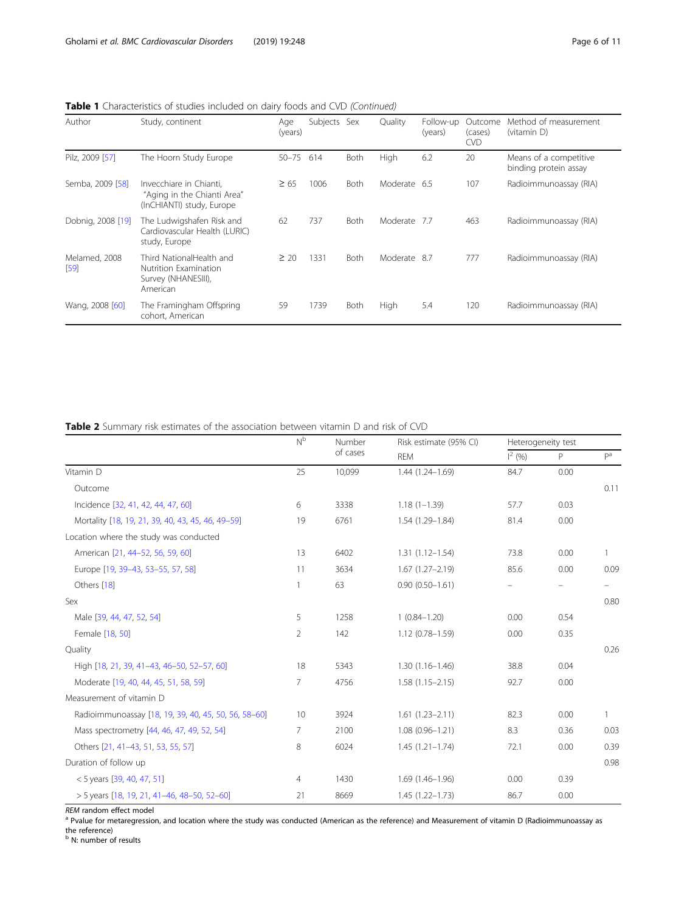<span id="page-5-0"></span>

|  | Table 1 Characteristics of studies included on dairy foods and CVD (Continued) |  |  |  |  |
|--|--------------------------------------------------------------------------------|--|--|--|--|
|  |                                                                                |  |  |  |  |

| Author                | Study, continent                                                                     | Age<br>(years) | Subjects | Sex         | Quality      | Follow-up<br>(years) | Outcome<br>(cases)<br><b>CVD</b> | Method of measurement<br>(vitamin D)            |
|-----------------------|--------------------------------------------------------------------------------------|----------------|----------|-------------|--------------|----------------------|----------------------------------|-------------------------------------------------|
| Pilz, 2009 [57]       | The Hoorn Study Europe                                                               | $50 - 75$      | 614      | Both        | High         | 6.2                  | 20                               | Means of a competitive<br>binding protein assay |
| Semba, 2009 [58]      | Invecchiare in Chianti.<br>"Aging in the Chianti Area"<br>(InCHIANTI) study, Europe  | $\geq 65$      | 1006     | Both        | Moderate 6.5 |                      | 107                              | Radioimmunoassay (RIA)                          |
| Dobnig, 2008 [19]     | The Ludwigshafen Risk and<br>Cardiovascular Health (LURIC)<br>study, Europe          | 62             | 737      | <b>Both</b> | Moderate 7.7 |                      | 463                              | Radioimmunoassay (RIA)                          |
| Melamed, 2008<br>[59] | Third NationalHealth and<br>Nutrition Examination<br>Survey (NHANESIII),<br>American | $\geq 20$      | 1331     | Both        | Moderate 8.7 |                      | 777                              | Radioimmunoassay (RIA)                          |
| Wang, 2008 [60]       | The Framingham Offspring<br>cohort, American                                         | 59             | 1739     | Both        | <b>High</b>  | 5.4                  | 120                              | Radioimmunoassay (RIA)                          |

## Table 2 Summary risk estimates of the association between vitamin D and risk of CVD

|                                                      | N <sup>b</sup> | Number<br>of cases | Risk estimate (95% CI) | Heterogeneity test |                   |                |
|------------------------------------------------------|----------------|--------------------|------------------------|--------------------|-------------------|----------------|
|                                                      |                |                    | <b>REM</b>             | $1^2$ (%)          | $\mathsf{P}$      | P <sup>a</sup> |
| Vitamin D                                            | 25             | 10,099             | $1.44(1.24 - 1.69)$    | 84.7               | 0.00              |                |
| Outcome                                              |                |                    |                        |                    |                   | 0.11           |
| Incidence [32, 41, 42, 44, 47, 60]                   | 6              | 3338               | $1.18(1 - 1.39)$       | 57.7               | 0.03              |                |
| Mortality [18, 19, 21, 39, 40, 43, 45, 46, 49-59]    | 19             | 6761               | 1.54 (1.29-1.84)       | 81.4               | 0.00              |                |
| Location where the study was conducted               |                |                    |                        |                    |                   |                |
| American [21, 44-52, 56, 59, 60]                     | 13             | 6402               | $1.31(1.12 - 1.54)$    | 73.8               | 0.00              | 1              |
| Europe [19, 39-43, 53-55, 57, 58]                    | 11             | 3634               | $1.67(1.27 - 2.19)$    | 85.6               | 0.00              | 0.09           |
| Others [18]                                          | $\mathbf{1}$   | 63                 | $0.90(0.50 - 1.61)$    |                    | $\qquad \qquad -$ | -              |
| Sex                                                  |                |                    |                        |                    |                   | 0.80           |
| Male [39, 44, 47, 52, 54]                            | 5              | 1258               | $1(0.84 - 1.20)$       | 0.00               | 0.54              |                |
| Female [18, 50]                                      | $\overline{2}$ | 142                | $1.12(0.78 - 1.59)$    | 0.00               | 0.35              |                |
| Quality                                              |                |                    |                        |                    |                   | 0.26           |
| High [18, 21, 39, 41-43, 46-50, 52-57, 60]           | 18             | 5343               | $1.30(1.16 - 1.46)$    | 38.8               | 0.04              |                |
| Moderate [19, 40, 44, 45, 51, 58, 59]                | 7              | 4756               | $1.58(1.15 - 2.15)$    | 92.7               | 0.00              |                |
| Measurement of vitamin D                             |                |                    |                        |                    |                   |                |
| Radioimmunoassay [18, 19, 39, 40, 45, 50, 56, 58-60] | 10             | 3924               | $1.61(1.23 - 2.11)$    | 82.3               | 0.00              | 1              |
| Mass spectrometry [44, 46, 47, 49, 52, 54]           | 7              | 2100               | $1.08(0.96 - 1.21)$    | 8.3                | 0.36              | 0.03           |
| Others [21, 41-43, 51, 53, 55, 57]                   | 8              | 6024               | $1.45(1.21 - 1.74)$    | 72.1               | 0.00              | 0.39           |
| Duration of follow up                                |                |                    |                        |                    |                   | 0.98           |
| $<$ 5 years [39, 40, 47, 51]                         | $\overline{4}$ | 1430               | $1.69(1.46 - 1.96)$    | 0.00               | 0.39              |                |
| > 5 years [18, 19, 21, 41-46, 48-50, 52-60]          | 21             | 8669               | $1.45(1.22 - 1.73)$    | 86.7               | 0.00              |                |

REM random effect model<br><sup>a</sup> Pvalue for metaregression, and location where the study was conducted (American as the reference) and Measurement of vitamin D (Radioimmunoassay as

the reference)<br><sup>b</sup> N: number of results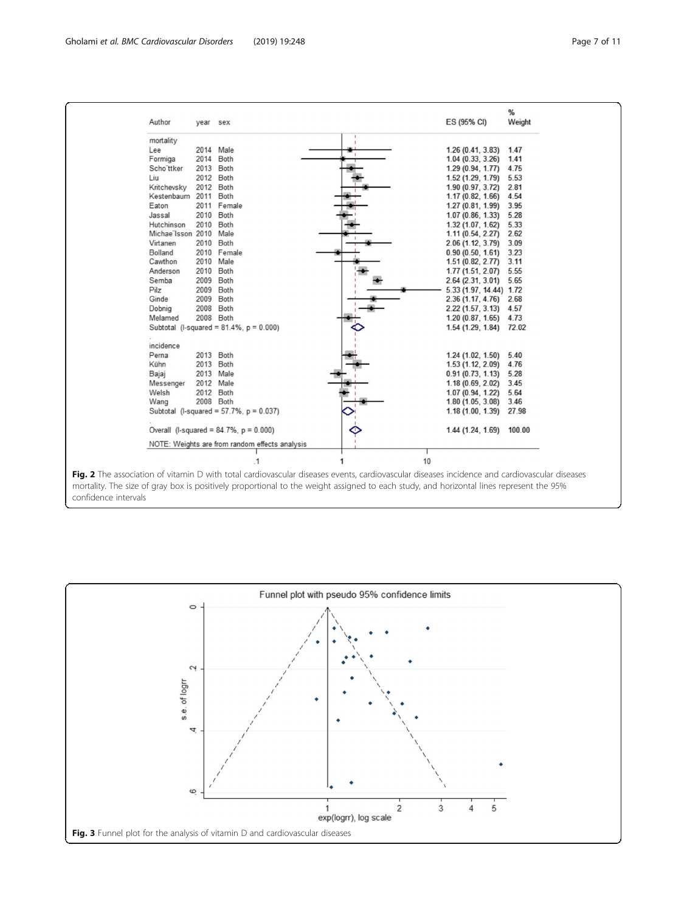<span id="page-6-0"></span>

| Author                                         |   | ES (95% CI)             | %<br>Weight |
|------------------------------------------------|---|-------------------------|-------------|
| year sex                                       |   |                         |             |
| mortality                                      |   |                         |             |
| 2014 Male<br>Lee                               |   | 1.26(0.41, 3.83)        | 1.47        |
| 2014<br>Both<br>Formiga                        |   | 1.04(0.33, 3.26)        | 1.41        |
| 2013 Both<br>Scho ttker                        |   | 1.29(0.94, 1.77)        | 4.75        |
| 2012<br>Both<br>Liu                            |   | 1.52(1.29, 1.79)        | 5.53        |
| 2012 Both<br>Kritchevsky                       |   | 1.90(0.97, 3.72)        | 2.81        |
| 2011 Both<br>Kestenbaum                        |   | 1.17(0.82, 1.66)        | 4.54        |
| 2011 Female<br>Eaton                           |   | 1.27 (0.81, 1.99)       | 3.95        |
| 2010 Both<br>Jassal                            |   | 1.07(0.86, 1.33)        | 5.28        |
| Hutchinson<br>2010<br>Both                     |   | 1.32(1.07, 1.62)        | 5.33        |
| Michae <sup>lsson</sup> 2010<br>Male           |   | 1.11(0.54, 2.27)        | 2.62        |
| 2010<br>Both<br>Virtanen                       |   | 2.06(1.12, 3.79)        | 3.09        |
| Bolland<br>2010 Female                         |   | 0.90(0.50, 1.61)        | 3.23        |
| Cawthon<br>2010 Male                           |   | 1.51(0.82, 2.77)        | 3.11        |
| Both<br>2010<br>Anderson                       |   | 1.77(1.51, 2.07)        | 5.55        |
| Semba<br>2009<br>Both                          |   | 2.64(2.31, 3.01)        | 5.65        |
| Pilz<br>2009<br>Both                           |   | 5.33 (1.97, 14.44) 1.72 |             |
| Ginde<br>2009<br>Both                          |   | 2.36(1.17, 4.76)        | 2.68        |
| 2008<br>Both<br>Dobnig                         |   | 2.22(1.57, 3.13)        | 4.57        |
| 2008 Both<br>Melamed                           |   | 1.20(0.87, 1.65)        | 4.73        |
| Subtotal (I-squared = $81.4\%$ , $p = 0.000$ ) |   | 1.54(1.29, 1.84)        | 72.02       |
| incidence                                      |   |                         |             |
| 2013 Both<br>Perna                             |   | 1.24(1.02, 1.50)        | 5.40        |
| Both<br>Kühn<br>2013                           |   | 1.53(1.12, 2.09)        | 4.76        |
| 2013 Male<br>Bajaj                             |   | 0.91(0.73, 1.13)        | 5.28        |
| 2012 Male<br>Messenger                         |   | 1.18(0.69, 2.02)        | 3.45        |
| 2012 Both<br>Welsh                             |   | 1.07(0.94, 1.22)        | 5.64        |
| 2008 Both<br>Wang                              |   | 1.80(1.05, 3.08)        | 3.46        |
| Subtotal (I-squared = $57.7\%$ , $p = 0.037$ ) |   | 1.18(1.00, 1.39)        | 27.98       |
| Overall (I-squared = $84.7\%$ , $p = 0.000$ )  | O | 1.44 (1.24, 1.69)       | 100.00      |
|                                                |   |                         |             |
| NOTE: Weights are from random effects analysis |   |                         |             |
| $\overline{1}$                                 |   | 10                      |             |

mortality. The size of gray box is positively proportional to the weight assigned to each study, and horizontal lines represent the 95% confidence intervals

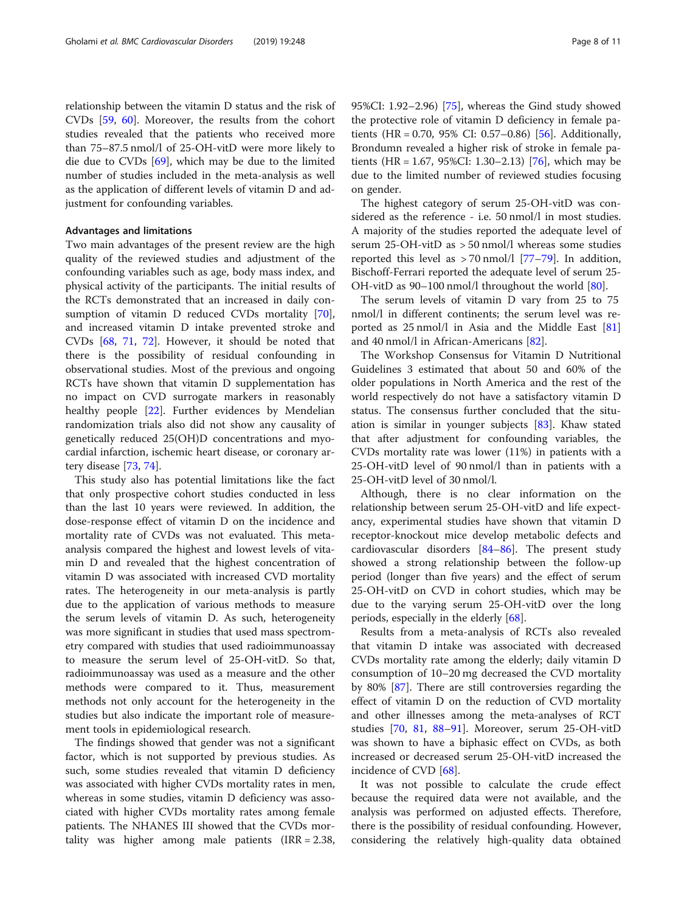relationship between the vitamin D status and the risk of CVDs [[59,](#page-9-0) [60](#page-9-0)]. Moreover, the results from the cohort studies revealed that the patients who received more than 75–87.5 nmol/l of 25-OH-vitD were more likely to die due to CVDs [\[69\]](#page-9-0), which may be due to the limited number of studies included in the meta-analysis as well as the application of different levels of vitamin D and adjustment for confounding variables.

## Advantages and limitations

Two main advantages of the present review are the high quality of the reviewed studies and adjustment of the confounding variables such as age, body mass index, and physical activity of the participants. The initial results of the RCTs demonstrated that an increased in daily consumption of vitamin D reduced CVDs mortality [\[70](#page-9-0)], and increased vitamin D intake prevented stroke and CVDs [\[68](#page-9-0), [71](#page-10-0), [72\]](#page-10-0). However, it should be noted that there is the possibility of residual confounding in observational studies. Most of the previous and ongoing RCTs have shown that vitamin D supplementation has no impact on CVD surrogate markers in reasonably healthy people [\[22](#page-8-0)]. Further evidences by Mendelian randomization trials also did not show any causality of genetically reduced 25(OH)D concentrations and myocardial infarction, ischemic heart disease, or coronary artery disease [[73,](#page-10-0) [74\]](#page-10-0).

This study also has potential limitations like the fact that only prospective cohort studies conducted in less than the last 10 years were reviewed. In addition, the dose-response effect of vitamin D on the incidence and mortality rate of CVDs was not evaluated. This metaanalysis compared the highest and lowest levels of vitamin D and revealed that the highest concentration of vitamin D was associated with increased CVD mortality rates. The heterogeneity in our meta-analysis is partly due to the application of various methods to measure the serum levels of vitamin D. As such, heterogeneity was more significant in studies that used mass spectrometry compared with studies that used radioimmunoassay to measure the serum level of 25-OH-vitD. So that, radioimmunoassay was used as a measure and the other methods were compared to it. Thus, measurement methods not only account for the heterogeneity in the studies but also indicate the important role of measurement tools in epidemiological research.

The findings showed that gender was not a significant factor, which is not supported by previous studies. As such, some studies revealed that vitamin D deficiency was associated with higher CVDs mortality rates in men, whereas in some studies, vitamin D deficiency was associated with higher CVDs mortality rates among female patients. The NHANES III showed that the CVDs mortality was higher among male patients (IRR = 2.38, 95%CI: 1.92–2.96) [[75\]](#page-10-0), whereas the Gind study showed the protective role of vitamin D deficiency in female patients (HR =  $0.70$ ,  $95\%$  CI:  $0.57-0.86$ ) [\[56](#page-9-0)]. Additionally, Brondumn revealed a higher risk of stroke in female pa-tients (HR = 1.67, 95%CI: 1.30–2.13) [[76\]](#page-10-0), which may be due to the limited number of reviewed studies focusing on gender.

The highest category of serum 25-OH-vitD was considered as the reference - i.e. 50 nmol/l in most studies. A majority of the studies reported the adequate level of serum 25-OH-vitD as > 50 nmol/l whereas some studies reported this level as  $> 70$  nmol/l [[77](#page-10-0)–[79](#page-10-0)]. In addition, Bischoff-Ferrari reported the adequate level of serum 25- OH-vitD as 90–100 nmol/l throughout the world [\[80](#page-10-0)].

The serum levels of vitamin D vary from 25 to 75 nmol/l in different continents; the serum level was reported as 25 nmol/l in Asia and the Middle East [[81](#page-10-0)] and 40 nmol/l in African-Americans [\[82](#page-10-0)].

The Workshop Consensus for Vitamin D Nutritional Guidelines 3 estimated that about 50 and 60% of the older populations in North America and the rest of the world respectively do not have a satisfactory vitamin D status. The consensus further concluded that the situation is similar in younger subjects [\[83\]](#page-10-0). Khaw stated that after adjustment for confounding variables, the CVDs mortality rate was lower (11%) in patients with a 25-OH-vitD level of 90 nmol/l than in patients with a 25-OH-vitD level of 30 nmol/l.

Although, there is no clear information on the relationship between serum 25-OH-vitD and life expectancy, experimental studies have shown that vitamin D receptor-knockout mice develop metabolic defects and cardiovascular disorders [\[84](#page-10-0)–[86\]](#page-10-0). The present study showed a strong relationship between the follow-up period (longer than five years) and the effect of serum 25-OH-vitD on CVD in cohort studies, which may be due to the varying serum 25-OH-vitD over the long periods, especially in the elderly [\[68](#page-9-0)].

Results from a meta-analysis of RCTs also revealed that vitamin D intake was associated with decreased CVDs mortality rate among the elderly; daily vitamin D consumption of 10–20 mg decreased the CVD mortality by 80% [\[87\]](#page-10-0). There are still controversies regarding the effect of vitamin D on the reduction of CVD mortality and other illnesses among the meta-analyses of RCT studies [\[70](#page-9-0), [81](#page-10-0), [88](#page-10-0)–[91\]](#page-10-0). Moreover, serum 25-OH-vitD was shown to have a biphasic effect on CVDs, as both increased or decreased serum 25-OH-vitD increased the incidence of CVD [[68\]](#page-9-0).

It was not possible to calculate the crude effect because the required data were not available, and the analysis was performed on adjusted effects. Therefore, there is the possibility of residual confounding. However, considering the relatively high-quality data obtained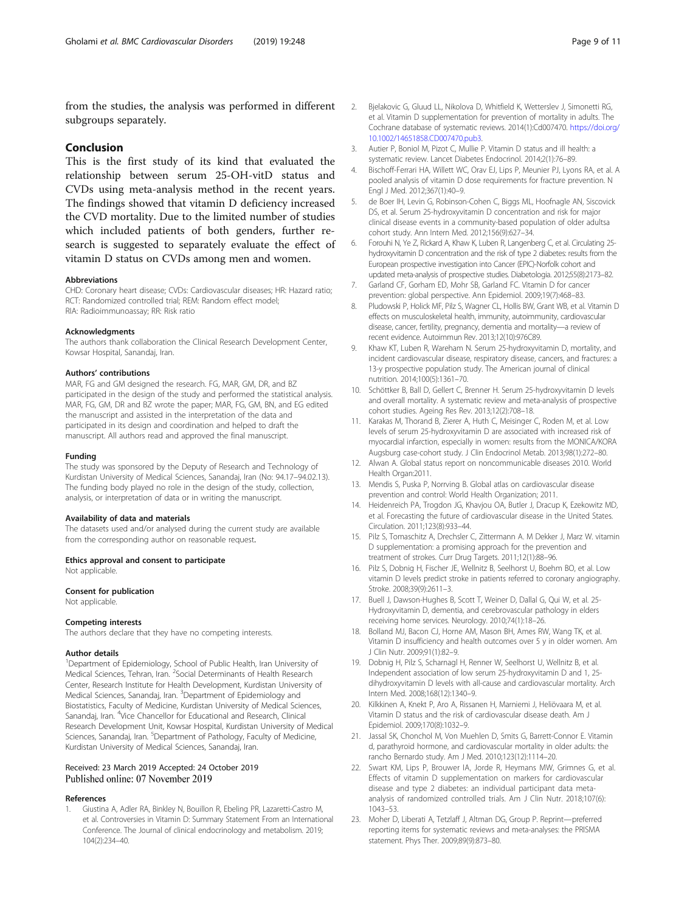<span id="page-8-0"></span>from the studies, the analysis was performed in different subgroups separately.

## Conclusion

This is the first study of its kind that evaluated the relationship between serum 25-OH-vitD status and CVDs using meta-analysis method in the recent years. The findings showed that vitamin D deficiency increased the CVD mortality. Due to the limited number of studies which included patients of both genders, further research is suggested to separately evaluate the effect of vitamin D status on CVDs among men and women.

#### Abbreviations

CHD: Coronary heart disease; CVDs: Cardiovascular diseases; HR: Hazard ratio; RCT: Randomized controlled trial; REM: Random effect model; RIA: Radioimmunoassay; RR: Risk ratio

## Acknowledgments

The authors thank collaboration the Clinical Research Development Center, Kowsar Hospital, Sanandaj, Iran.

#### Authors' contributions

MAR, FG and GM designed the research. FG, MAR, GM, DR, and BZ participated in the design of the study and performed the statistical analysis. MAR, FG, GM, DR and BZ wrote the paper; MAR, FG, GM, BN, and EG edited the manuscript and assisted in the interpretation of the data and participated in its design and coordination and helped to draft the manuscript. All authors read and approved the final manuscript.

#### Funding

The study was sponsored by the Deputy of Research and Technology of Kurdistan University of Medical Sciences, Sanandaj, Iran (No: 94.17–94.02.13). The funding body played no role in the design of the study, collection, analysis, or interpretation of data or in writing the manuscript.

#### Availability of data and materials

The datasets used and/or analysed during the current study are available from the corresponding author on reasonable request.

#### Ethics approval and consent to participate

Not applicable.

#### Consent for publication

Not applicable.

#### Competing interests

The authors declare that they have no competing interests.

#### Author details

<sup>1</sup>Department of Epidemiology, School of Public Health, Iran University of Medical Sciences, Tehran, Iran. <sup>2</sup>Social Determinants of Health Research Center, Research Institute for Health Development, Kurdistan University of Medical Sciences, Sanandaj, Iran. <sup>3</sup>Department of Epidemiology and Biostatistics, Faculty of Medicine, Kurdistan University of Medical Sciences, Sanandaj, Iran. <sup>4</sup>Vice Chancellor for Educational and Research, Clinical Research Development Unit, Kowsar Hospital, Kurdistan University of Medical Sciences, Sanandaj, Iran. <sup>5</sup>Department of Pathology, Faculty of Medicine, Kurdistan University of Medical Sciences, Sanandaj, Iran.

### Received: 23 March 2019 Accepted: 24 October 2019 Published online: 07 November 2019

#### References

1. Giustina A, Adler RA, Binkley N, Bouillon R, Ebeling PR, Lazaretti-Castro M, et al. Controversies in Vitamin D: Summary Statement From an International Conference. The Journal of clinical endocrinology and metabolism. 2019; 104(2):234–40.

- 2. Bjelakovic G, Gluud LL, Nikolova D, Whitfield K, Wetterslev J, Simonetti RG, et al. Vitamin D supplementation for prevention of mortality in adults. The Cochrane database of systematic reviews. 2014(1):Cd007470. [https://doi.org/](https://doi.org/10.1002/14651858.CD007470.pub3) [10.1002/14651858.CD007470.pub3](https://doi.org/10.1002/14651858.CD007470.pub3).
- 3. Autier P, Boniol M, Pizot C, Mullie P. Vitamin D status and ill health: a systematic review. Lancet Diabetes Endocrinol. 2014;2(1):76–89.
- 4. Bischoff-Ferrari HA, Willett WC, Orav EJ, Lips P, Meunier PJ, Lyons RA, et al. A pooled analysis of vitamin D dose requirements for fracture prevention. N Engl J Med. 2012;367(1):40–9.
- 5. de Boer IH, Levin G, Robinson-Cohen C, Biggs ML, Hoofnagle AN, Siscovick DS, et al. Serum 25-hydroxyvitamin D concentration and risk for major clinical disease events in a community-based population of older adultsa cohort study. Ann Intern Med. 2012;156(9):627–34.
- 6. Forouhi N, Ye Z, Rickard A, Khaw K, Luben R, Langenberg C, et al. Circulating 25 hydroxyvitamin D concentration and the risk of type 2 diabetes: results from the European prospective investigation into Cancer (EPIC)-Norfolk cohort and updated meta-analysis of prospective studies. Diabetologia. 2012;55(8):2173–82.
- 7. Garland CF, Gorham ED, Mohr SB, Garland FC. Vitamin D for cancer prevention: global perspective. Ann Epidemiol. 2009;19(7):468–83.
- 8. Pludowski P, Holick MF, Pilz S, Wagner CL, Hollis BW, Grant WB, et al. Vitamin D effects on musculoskeletal health, immunity, autoimmunity, cardiovascular disease, cancer, fertility, pregnancy, dementia and mortality—a review of recent evidence. Autoimmun Rev. 2013;12(10):976C89.
- 9. Khaw KT, Luben R, Wareham N. Serum 25-hydroxyvitamin D, mortality, and incident cardiovascular disease, respiratory disease, cancers, and fractures: a 13-y prospective population study. The American journal of clinical nutrition. 2014;100(5):1361–70.
- 10. Schöttker B, Ball D, Gellert C, Brenner H. Serum 25-hydroxyvitamin D levels and overall mortality. A systematic review and meta-analysis of prospective cohort studies. Ageing Res Rev. 2013;12(2):708–18.
- 11. Karakas M, Thorand B, Zierer A, Huth C, Meisinger C, Roden M, et al. Low levels of serum 25-hydroxyvitamin D are associated with increased risk of myocardial infarction, especially in women: results from the MONICA/KORA Augsburg case-cohort study. J Clin Endocrinol Metab. 2013;98(1):272–80.
- 12. Alwan A. Global status report on noncommunicable diseases 2010. World Health Organ:2011.
- 13. Mendis S, Puska P, Norrving B. Global atlas on cardiovascular disease prevention and control: World Health Organization; 2011.
- 14. Heidenreich PA, Trogdon JG, Khavjou OA, Butler J, Dracup K, Ezekowitz MD, et al. Forecasting the future of cardiovascular disease in the United States. Circulation. 2011;123(8):933–44.
- 15. Pilz S, Tomaschitz A, Drechsler C, Zittermann A. M Dekker J, Marz W. vitamin D supplementation: a promising approach for the prevention and treatment of strokes. Curr Drug Targets. 2011;12(1):88–96.
- 16. Pilz S, Dobnig H, Fischer JE, Wellnitz B, Seelhorst U, Boehm BO, et al. Low vitamin D levels predict stroke in patients referred to coronary angiography. Stroke. 2008;39(9):2611–3.
- 17. Buell J, Dawson-Hughes B, Scott T, Weiner D, Dallal G, Qui W, et al. 25- Hydroxyvitamin D, dementia, and cerebrovascular pathology in elders receiving home services. Neurology. 2010;74(1):18–26.
- 18. Bolland MJ, Bacon CJ, Horne AM, Mason BH, Ames RW, Wang TK, et al. Vitamin D insufficiency and health outcomes over 5 y in older women. Am J Clin Nutr. 2009;91(1):82–9.
- 19. Dobnig H, Pilz S, Scharnagl H, Renner W, Seelhorst U, Wellnitz B, et al. Independent association of low serum 25-hydroxyvitamin D and 1, 25 dihydroxyvitamin D levels with all-cause and cardiovascular mortality. Arch Intern Med. 2008;168(12):1340–9.
- 20. Kilkkinen A, Knekt P, Aro A, Rissanen H, Marniemi J, Heliövaara M, et al. Vitamin D status and the risk of cardiovascular disease death. Am J Epidemiol. 2009;170(8):1032–9.
- 21. Jassal SK, Chonchol M, Von Muehlen D, Smits G, Barrett-Connor E. Vitamin d, parathyroid hormone, and cardiovascular mortality in older adults: the rancho Bernardo study. Am J Med. 2010;123(12):1114–20.
- 22. Swart KM, Lips P, Brouwer IA, Jorde R, Heymans MW, Grimnes G, et al. Effects of vitamin D supplementation on markers for cardiovascular disease and type 2 diabetes: an individual participant data metaanalysis of randomized controlled trials. Am J Clin Nutr. 2018;107(6): 1043–53.
- 23. Moher D, Liberati A, Tetzlaff J, Altman DG, Group P. Reprint—preferred reporting items for systematic reviews and meta-analyses: the PRISMA statement. Phys Ther. 2009;89(9):873–80.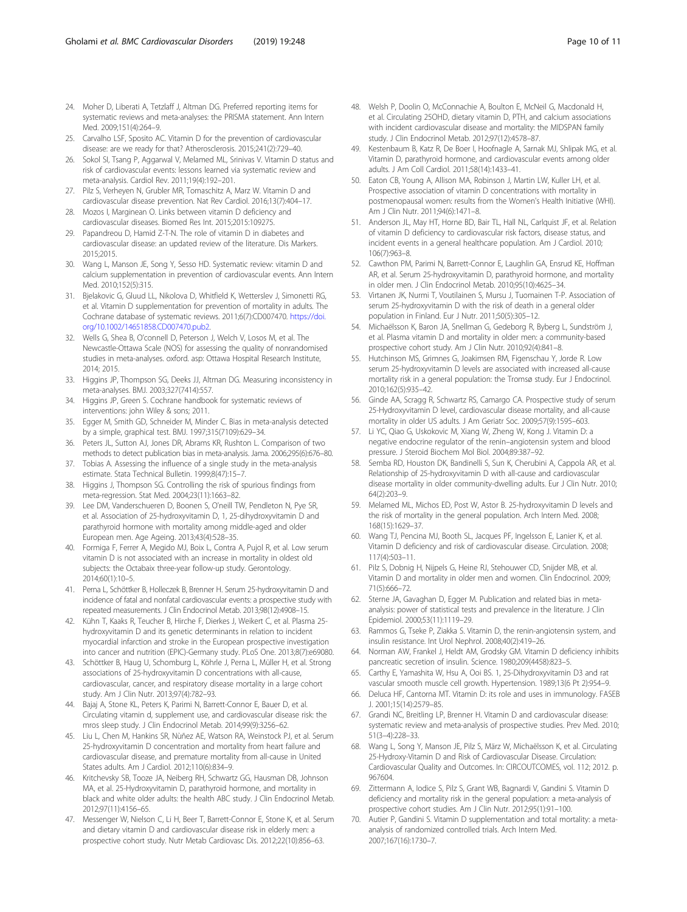- <span id="page-9-0"></span>24. Moher D, Liberati A, Tetzlaff J, Altman DG. Preferred reporting items for systematic reviews and meta-analyses: the PRISMA statement. Ann Intern Med. 2009;151(4):264–9.
- 25. Carvalho LSF, Sposito AC. Vitamin D for the prevention of cardiovascular disease: are we ready for that? Atherosclerosis. 2015;241(2):729–40.
- 26. Sokol SI, Tsang P, Aggarwal V, Melamed ML, Srinivas V. Vitamin D status and risk of cardiovascular events: lessons learned via systematic review and meta-analysis. Cardiol Rev. 2011;19(4):192–201.
- 27. Pilz S, Verheyen N, Grubler MR, Tomaschitz A, Marz W. Vitamin D and cardiovascular disease prevention. Nat Rev Cardiol. 2016;13(7):404–17.
- Mozos I, Marginean O. Links between vitamin D deficiency and cardiovascular diseases. Biomed Res Int. 2015;2015:109275.
- 29. Papandreou D, Hamid Z-T-N. The role of vitamin D in diabetes and cardiovascular disease: an updated review of the literature. Dis Markers. 2015;2015.
- 30. Wang L, Manson JE, Song Y, Sesso HD. Systematic review: vitamin D and calcium supplementation in prevention of cardiovascular events. Ann Intern Med. 2010;152(5):315.
- 31. Bjelakovic G, Gluud LL, Nikolova D, Whitfield K, Wetterslev J, Simonetti RG, et al. Vitamin D supplementation for prevention of mortality in adults. The Cochrane database of systematic reviews. 2011;6(7):CD007470. [https://doi.](https://doi.org/10.1002/14651858.CD007470.pub2) [org/10.1002/14651858.CD007470.pub2.](https://doi.org/10.1002/14651858.CD007470.pub2)
- 32. Wells G, Shea B, O'connell D, Peterson J, Welch V, Losos M, et al. The Newcastle-Ottawa Scale (NOS) for assessing the quality of nonrandomised studies in meta-analyses. oxford. asp: Ottawa Hospital Research Institute, 2014; 2015.
- 33. Higgins JP, Thompson SG, Deeks JJ, Altman DG. Measuring inconsistency in meta-analyses. BMJ. 2003;327(7414):557.
- 34. Higgins JP, Green S. Cochrane handbook for systematic reviews of interventions: john Wiley & sons; 2011.
- 35. Egger M, Smith GD, Schneider M, Minder C. Bias in meta-analysis detected by a simple, graphical test. BMJ. 1997;315(7109):629–34.
- Peters JL, Sutton AJ, Jones DR, Abrams KR, Rushton L. Comparison of two methods to detect publication bias in meta-analysis. Jama. 2006;295(6):676–80.
- 37. Tobias A. Assessing the influence of a single study in the meta-analysis estimate. Stata Technical Bulletin. 1999;8(47):15–7.
- 38. Higgins J, Thompson SG. Controlling the risk of spurious findings from meta-regression. Stat Med. 2004;23(11):1663–82.
- 39. Lee DM, Vanderschueren D, Boonen S, O'neill TW, Pendleton N, Pye SR, et al. Association of 25-hydroxyvitamin D, 1, 25-dihydroxyvitamin D and parathyroid hormone with mortality among middle-aged and older European men. Age Ageing. 2013;43(4):528–35.
- 40. Formiga F, Ferrer A, Megido MJ, Boix L, Contra A, Pujol R, et al. Low serum vitamin D is not associated with an increase in mortality in oldest old subjects: the Octabaix three-year follow-up study. Gerontology. 2014;60(1):10–5.
- 41. Perna L, Schöttker B, Holleczek B, Brenner H. Serum 25-hydroxyvitamin D and incidence of fatal and nonfatal cardiovascular events: a prospective study with repeated measurements. J Clin Endocrinol Metab. 2013;98(12):4908–15.
- 42. Kühn T, Kaaks R, Teucher B, Hirche F, Dierkes J, Weikert C, et al. Plasma 25 hydroxyvitamin D and its genetic determinants in relation to incident myocardial infarction and stroke in the European prospective investigation into cancer and nutrition (EPIC)-Germany study. PLoS One. 2013;8(7):e69080.
- 43. Schöttker B, Haug U, Schomburg L, Köhrle J, Perna L, Müller H, et al. Strong associations of 25-hydroxyvitamin D concentrations with all-cause, cardiovascular, cancer, and respiratory disease mortality in a large cohort study. Am J Clin Nutr. 2013;97(4):782–93.
- 44. Bajaj A, Stone KL, Peters K, Parimi N, Barrett-Connor E, Bauer D, et al. Circulating vitamin d, supplement use, and cardiovascular disease risk: the mros sleep study. J Clin Endocrinol Metab. 2014;99(9):3256–62.
- 45. Liu L, Chen M, Hankins SR, Nùñez AE, Watson RA, Weinstock PJ, et al. Serum 25-hydroxyvitamin D concentration and mortality from heart failure and cardiovascular disease, and premature mortality from all-cause in United States adults. Am J Cardiol. 2012;110(6):834–9.
- 46. Kritchevsky SB, Tooze JA, Neiberg RH, Schwartz GG, Hausman DB, Johnson MA, et al. 25-Hydroxyvitamin D, parathyroid hormone, and mortality in black and white older adults: the health ABC study. J Clin Endocrinol Metab. 2012;97(11):4156–65.
- 47. Messenger W, Nielson C, Li H, Beer T, Barrett-Connor E, Stone K, et al. Serum and dietary vitamin D and cardiovascular disease risk in elderly men: a prospective cohort study. Nutr Metab Cardiovasc Dis. 2012;22(10):856–63.
- 48. Welsh P, Doolin O, McConnachie A, Boulton E, McNeil G, Macdonald H, et al. Circulating 25OHD, dietary vitamin D, PTH, and calcium associations with incident cardiovascular disease and mortality: the MIDSPAN family study. J Clin Endocrinol Metab. 2012;97(12):4578–87.
- 49. Kestenbaum B, Katz R, De Boer I, Hoofnagle A, Sarnak MJ, Shlipak MG, et al. Vitamin D, parathyroid hormone, and cardiovascular events among older adults. J Am Coll Cardiol. 2011;58(14):1433–41.
- 50. Eaton CB, Young A, Allison MA, Robinson J, Martin LW, Kuller LH, et al. Prospective association of vitamin D concentrations with mortality in postmenopausal women: results from the Women's Health Initiative (WHI). Am J Clin Nutr. 2011;94(6):1471–8.
- 51. Anderson JL, May HT, Horne BD, Bair TL, Hall NL, Carlquist JF, et al. Relation of vitamin D deficiency to cardiovascular risk factors, disease status, and incident events in a general healthcare population. Am J Cardiol. 2010; 106(7):963–8.
- 52. Cawthon PM, Parimi N, Barrett-Connor E, Laughlin GA, Ensrud KE, Hoffman AR, et al. Serum 25-hydroxyvitamin D, parathyroid hormone, and mortality in older men. J Clin Endocrinol Metab. 2010;95(10):4625–34.
- 53. Virtanen JK, Nurmi T, Voutilainen S, Mursu J, Tuomainen T-P. Association of serum 25-hydroxyvitamin D with the risk of death in a general older population in Finland. Eur J Nutr. 2011;50(5):305–12.
- 54. Michaëlsson K, Baron JA, Snellman G, Gedeborg R, Byberg L, Sundström J, et al. Plasma vitamin D and mortality in older men: a community-based prospective cohort study. Am J Clin Nutr. 2010;92(4):841–8.
- 55. Hutchinson MS, Grimnes G, Joakimsen RM, Figenschau Y, Jorde R. Low serum 25-hydroxyvitamin D levels are associated with increased all-cause mortality risk in a general population: the Tromsø study. Eur J Endocrinol. 2010;162(5):935–42.
- 56. Ginde AA, Scragg R, Schwartz RS, Camargo CA. Prospective study of serum 25-Hydroxyvitamin D level, cardiovascular disease mortality, and all-cause mortality in older US adults. J Am Geriatr Soc. 2009;57(9):1595–603.
- 57. Li YC, Qiao G, Uskokovic M, Xiang W, Zheng W, Kong J. Vitamin D: a negative endocrine regulator of the renin–angiotensin system and blood pressure. J Steroid Biochem Mol Biol. 2004;89:387–92.
- 58. Semba RD, Houston DK, Bandinelli S, Sun K, Cherubini A, Cappola AR, et al. Relationship of 25-hydroxyvitamin D with all-cause and cardiovascular disease mortality in older community-dwelling adults. Eur J Clin Nutr. 2010; 64(2):203–9.
- 59. Melamed ML, Michos ED, Post W, Astor B. 25-hydroxyvitamin D levels and the risk of mortality in the general population. Arch Intern Med. 2008; 168(15):1629–37.
- 60. Wang TJ, Pencina MJ, Booth SL, Jacques PF, Ingelsson E, Lanier K, et al. Vitamin D deficiency and risk of cardiovascular disease. Circulation. 2008; 117(4):503–11.
- 61. Pilz S, Dobnig H, Nijpels G, Heine RJ, Stehouwer CD, Snijder MB, et al. Vitamin D and mortality in older men and women. Clin Endocrinol. 2009; 71(5):666–72.
- 62. Sterne JA, Gavaghan D, Egger M. Publication and related bias in metaanalysis: power of statistical tests and prevalence in the literature. J Clin Epidemiol. 2000;53(11):1119–29.
- 63. Rammos G, Tseke P, Ziakka S. Vitamin D, the renin-angiotensin system, and insulin resistance. Int Urol Nephrol. 2008;40(2):419–26.
- 64. Norman AW, Frankel J, Heldt AM, Grodsky GM. Vitamin D deficiency inhibits pancreatic secretion of insulin. Science. 1980;209(4458):823–5.
- Carthy E, Yamashita W, Hsu A, Ooi BS. 1, 25-Dihydroxyvitamin D3 and rat vascular smooth muscle cell growth. Hypertension. 1989;13(6 Pt 2):954–9.
- 66. Deluca HF, Cantorna MT. Vitamin D: its role and uses in immunology. FASEB J. 2001;15(14):2579–85.
- 67. Grandi NC, Breitling LP, Brenner H. Vitamin D and cardiovascular disease: systematic review and meta-analysis of prospective studies. Prev Med. 2010; 51(3–4):228–33.
- 68. Wang L, Song Y, Manson JE, Pilz S, März W, Michaëlsson K, et al. Circulating 25-Hydroxy-Vitamin D and Risk of Cardiovascular Disease. Circulation: Cardiovascular Quality and Outcomes. In: CIRCOUTCOMES, vol. 112; 2012. p. 967604.
- 69. Zittermann A, Iodice S, Pilz S, Grant WB, Bagnardi V, Gandini S. Vitamin D deficiency and mortality risk in the general population: a meta-analysis of prospective cohort studies. Am J Clin Nutr. 2012;95(1):91–100.
- 70. Autier P, Gandini S. Vitamin D supplementation and total mortality: a metaanalysis of randomized controlled trials. Arch Intern Med. 2007;167(16):1730–7.